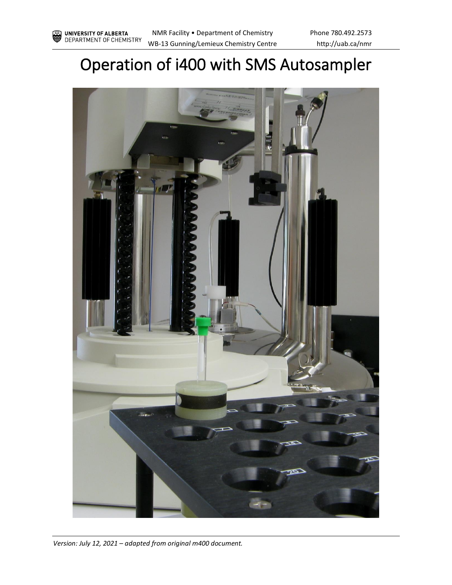# Operation of i400 with SMS Autosampler



*Version: July 12, 2021 – adapted from original m400 document.*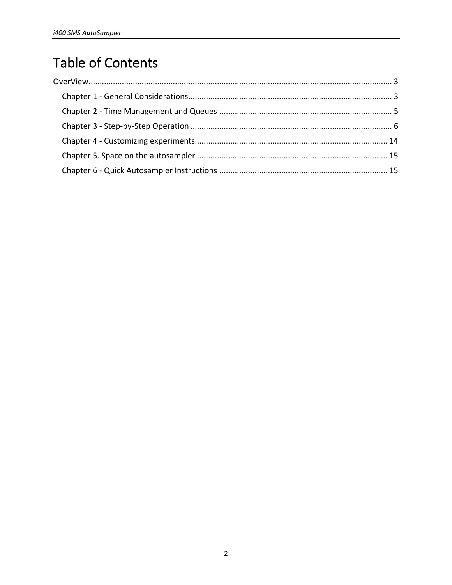## **Table of Contents**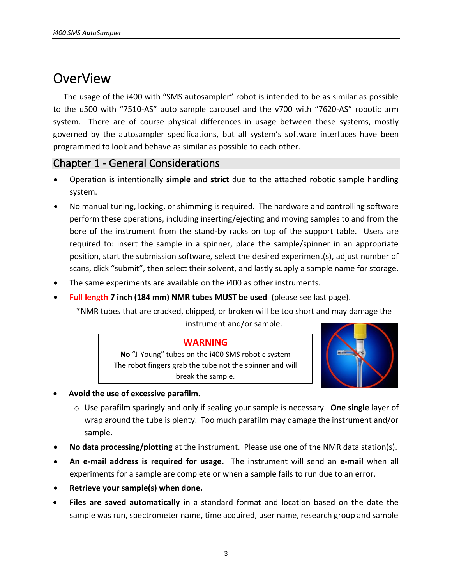## <span id="page-2-0"></span>**OverView**

The usage of the i400 with "SMS autosampler" robot is intended to be as similar as possible to the u500 with "7510-AS" auto sample carousel and the v700 with "7620-AS" robotic arm system. There are of course physical differences in usage between these systems, mostly governed by the autosampler specifications, but all system's software interfaces have been programmed to look and behave as similar as possible to each other.

### <span id="page-2-1"></span>Chapter 1 - General Considerations

- Operation is intentionally **simple** and **strict** due to the attached robotic sample handling system.
- No manual tuning, locking, or shimming is required. The hardware and controlling software perform these operations, including inserting/ejecting and moving samples to and from the bore of the instrument from the stand-by racks on top of the support table. Users are required to: insert the sample in a spinner, place the sample/spinner in an appropriate position, start the submission software, select the desired experiment(s), adjust number of scans, click "submit", then select their solvent, and lastly supply a sample name for storage.
- The same experiments are available on the i400 as other instruments.
- **Full length 7 inch (184 mm) NMR tubes MUST be used** (please see last page).

\*NMR tubes that are cracked, chipped, or broken will be too short and may damage the instrument and/or sample.

#### **WARNING**

**No** "J-Young" tubes on the i400 SMS robotic system The robot fingers grab the tube not the spinner and will break the sample.



- **Avoid the use of excessive parafilm.**
	- o Use parafilm sparingly and only if sealing your sample is necessary. **One single** layer of wrap around the tube is plenty. Too much parafilm may damage the instrument and/or sample.
- **No data processing/plotting** at the instrument. Please use one of the NMR data station(s).
- **An e-mail address is required for usage.** The instrument will send an **e-mail** when all experiments for a sample are complete or when a sample fails to run due to an error.
- **Retrieve your sample(s) when done.**
- **Files are saved automatically** in a standard format and location based on the date the sample was run, spectrometer name, time acquired, user name, research group and sample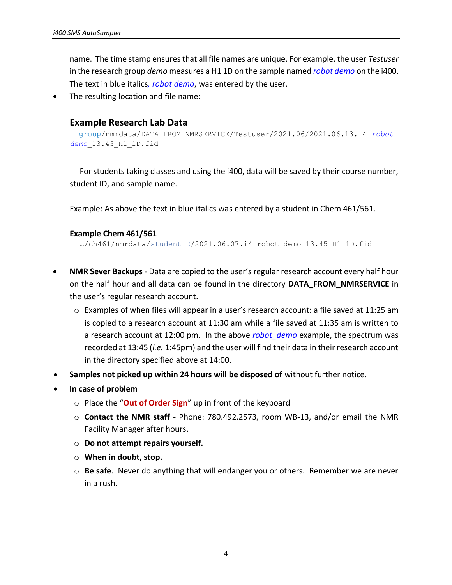name. The time stamp ensures that all file names are unique. For example, the user *Testuser* in the research group *demo* measures a H1 1D on the sample named *robot demo* on the i400. The text in blue italics*, robot demo*, was entered by the user.

The resulting location and file name:

#### **Example Research Lab Data**

```
group/nmrdata/DATA_FROM_NMRSERVICE/Testuser/2021.06/2021.06.13.i4_robot_
demo_13.45_H1_1D.fid
```
For students taking classes and using the i400, data will be saved by their course number, student ID, and sample name.

Example: As above the text in blue italics was entered by a student in Chem 461/561.

#### **Example Chem 461/561**

…/ch461/nmrdata/studentID/2021.06.07.i4\_robot\_demo\_13.45\_H1\_1D.fid

- **NMR Sever Backups** Data are copied to the user's regular research account every half hour on the half hour and all data can be found in the directory **DATA\_FROM\_NMRSERVICE** in the user's regular research account.
	- o Examples of when files will appear in a user's research account: a file saved at 11:25 am is copied to a research account at 11:30 am while a file saved at 11:35 am is written to a research account at 12:00 pm. In the above *robot\_demo* example, the spectrum was recorded at 13:45 (*i.e.* 1:45pm) and the user will find their data in their research account in the directory specified above at 14:00.
- **Samples not picked up within 24 hours will be disposed of** without further notice.
- **In case of problem**
	- o Place the "**Out of Order Sign**" up in front of the keyboard
	- o **Contact the NMR staff**  Phone: 780.492.2573, room WB-13, and/or email the NMR Facility Manager after hours**.**
	- o **Do not attempt repairs yourself.**
	- o **When in doubt, stop.**
	- o **Be safe**. Never do anything that will endanger you or others. Remember we are never in a rush.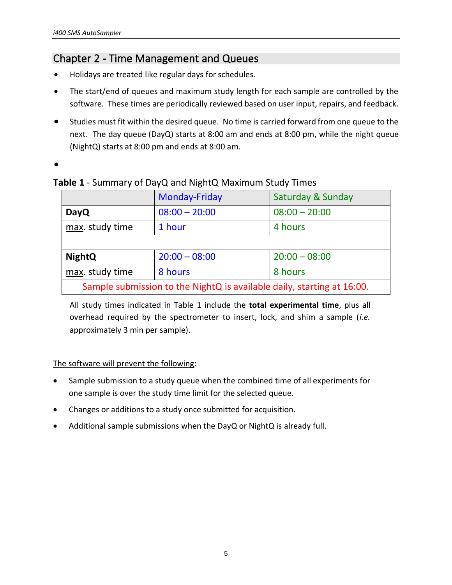### <span id="page-4-0"></span>Chapter 2 - Time Management and Queues

- Holidays are treated like regular days for schedules.
- The start/end of queues and maximum study length for each sample are controlled by the software. These times are periodically reviewed based on user input, repairs, and feedback.
- Studies must fit within the desired queue. No time is carried forward from one queue to the next. The day queue (DayQ) starts at 8:00 am and ends at 8:00 pm, while the night queue (NightQ) starts at 8:00 pm and ends at 8:00 am.
- •

**Table 1** - Summary of DayQ and NightQ Maximum Study Times

|                                                                        | <b>Monday-Friday</b> | Saturday & Sunday |  |  |
|------------------------------------------------------------------------|----------------------|-------------------|--|--|
| <b>DayQ</b>                                                            | $08:00 - 20:00$      | $08:00 - 20:00$   |  |  |
| max. study time                                                        | 1 hour               | 4 hours           |  |  |
|                                                                        |                      |                   |  |  |
| <b>NightQ</b>                                                          | $20:00 - 08:00$      | $20:00 - 08:00$   |  |  |
| max. study time                                                        | 8 hours              | 8 hours           |  |  |
| Sample submission to the NightQ is available daily, starting at 16:00. |                      |                   |  |  |

All study times indicated in Table 1 include the **total experimental time**, plus all overhead required by the spectrometer to insert, lock, and shim a sample (*i.e.* approximately 3 min per sample).

#### The software will prevent the following:

- Sample submission to a study queue when the combined time of all experiments for one sample is over the study time limit for the selected queue.
- Changes or additions to a study once submitted for acquisition.
- Additional sample submissions when the DayQ or NightQ is already full.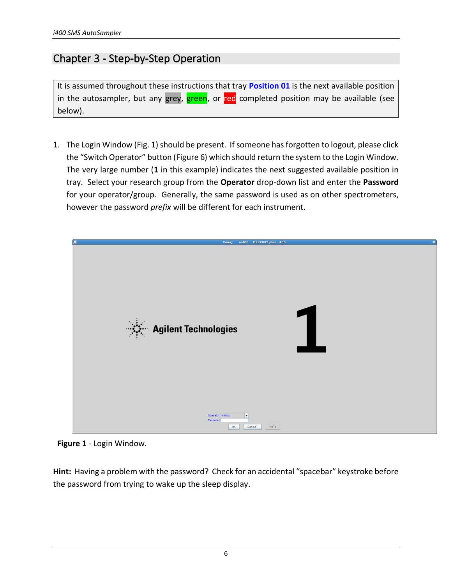### <span id="page-5-0"></span>Chapter 3 - Step-by-Step Operation

It is assumed throughout these instructions that tray **Position 01** is the next available position in the autosampler, but any grey, green, or red completed position may be available (see below).

1. The Login Window (Fig. 1) should be present. If someone has forgotten to logout, please click the "Switch Operator" button (Figure 6) which should return the system to the Login Window. The very large number (**1** in this example) indicates the next suggested available position in tray. Select your research group from the **Operator** drop-down list and enter the **Password** for your operator/group. Generally, the same password is used as on other spectrometers, however the password *prefix* will be different for each instrument.



**Figure 1** - Login Window.

**Hint:** Having a problem with the password? Check for an accidental "spacebar" keystroke before the password from trying to wake up the sleep display.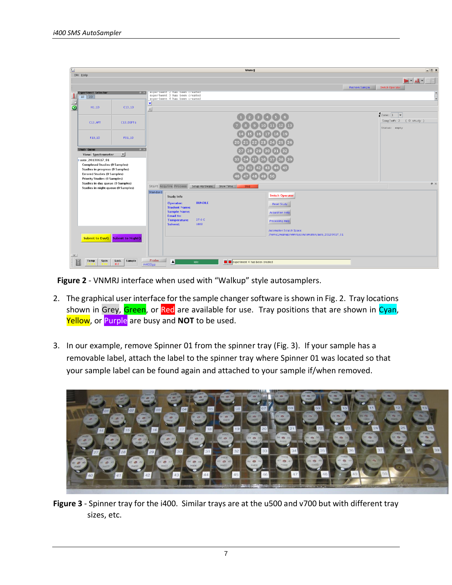| 僵                       |                                                                           |                       |                 |                                                                |               | <b>Vnmrj</b>                  |                                                                                       |                        | $\boxed{\square}$ $\boxed{\blacksquare}$ $\boxed{\blacktriangleright}$ |
|-------------------------|---------------------------------------------------------------------------|-----------------------|-----------------|----------------------------------------------------------------|---------------|-------------------------------|---------------------------------------------------------------------------------------|------------------------|------------------------------------------------------------------------|
|                         | Eile Help                                                                 |                       |                 |                                                                |               |                               |                                                                                       |                        |                                                                        |
|                         |                                                                           |                       |                 |                                                                |               |                               |                                                                                       | <b>Retrieve Sample</b> | $- J_L $ - $ M$<br>Switch Operator                                     |
|                         | <b>Experiment Selector</b>                                                | $a \times$            |                 | experiment 2 has been created<br>experiment 3 has been created |               |                               |                                                                                       |                        |                                                                        |
| n e s                   | $1D$ 2D                                                                   |                       | ٠               | experiment 4 has been created                                  |               |                               |                                                                                       |                        |                                                                        |
| $\bullet$               | $H1$ <sub>-1</sub> D                                                      | $C13_11D$             | $\times$        |                                                                |               |                               |                                                                                       |                        |                                                                        |
|                         |                                                                           |                       |                 |                                                                |               |                               | 1234156                                                                               |                        | $\frac{1}{2}$ Zone: $\boxed{1}$ $\rightarrow$                          |
|                         | C13_APT                                                                   | C13_DEPTG             |                 |                                                                |               |                               | 10 <sup>°</sup>                                                                       |                        | Sample#: 2 ( 0 study )                                                 |
|                         |                                                                           |                       |                 |                                                                |               |                               |                                                                                       |                        | Status: empty                                                          |
|                         | F19_1D                                                                    | P31.1D                |                 |                                                                |               |                               |                                                                                       |                        |                                                                        |
|                         | Study Queue                                                               | $\sqrt{a}$ $\times$   |                 |                                                                |               |                               |                                                                                       |                        |                                                                        |
|                         | <b>View: Spectrometer</b>                                                 | ᅬ                     |                 |                                                                |               |                               |                                                                                       |                        |                                                                        |
|                         | 9 auto_20130617_01<br><b>Completed Studies (0 Samples)</b>                |                       |                 |                                                                |               |                               |                                                                                       |                        |                                                                        |
|                         | Studies in progress (0 Samples)                                           |                       |                 |                                                                |               |                               |                                                                                       |                        |                                                                        |
|                         | <b>Errored Studies (0 Samples)</b><br><b>Priority Studies (0 Samples)</b> |                       |                 |                                                                |               |                               | 50<br>49.                                                                             |                        |                                                                        |
|                         | Studies in day queue (0 Samples)<br>Studies in night queue (0 Samples)    |                       |                 | Start Acquire Process Setup Hardware Show Time                 |               | Stop <sub>1</sub>             |                                                                                       |                        | $\sqrt{4}$                                                             |
|                         |                                                                           |                       | Standard        | <b>Study Info</b>                                              |               |                               | <b>Switch Operator</b>                                                                |                        |                                                                        |
|                         |                                                                           |                       |                 | Operator:                                                      | <b>BUNDLE</b> |                               | <b>Reset Study</b>                                                                    |                        |                                                                        |
|                         |                                                                           |                       |                 | <b>Student Name:</b><br><b>Sample Name:</b>                    |               |                               | <b>Acquisition Help</b>                                                               |                        |                                                                        |
|                         |                                                                           |                       |                 | <b>Email to:</b><br><b>Temperature:</b>                        | 27.0 C        |                               |                                                                                       |                        |                                                                        |
|                         |                                                                           |                       |                 | Solvent:                                                       | cdcl3         |                               | <b>Processing Help</b>                                                                |                        |                                                                        |
|                         |                                                                           |                       |                 |                                                                |               |                               | <b>Automation Scratch Space:</b><br>/home1/walkup/vnmrsys/Automation/auto_20130617_01 |                        |                                                                        |
|                         | Submit to DayQ   Submit to NightQ                                         |                       |                 |                                                                |               |                               |                                                                                       |                        |                                                                        |
|                         |                                                                           |                       |                 |                                                                |               |                               |                                                                                       |                        |                                                                        |
| $\times$                |                                                                           |                       |                 |                                                                |               |                               |                                                                                       |                        |                                                                        |
| $\overline{\mathbb{H}}$ | Spin<br>Temp                                                              | Lock<br>Sample<br>0.1 | Probe<br>m400qz | $\blacktriangle$                                               | Idle          | experiment 4 has been created |                                                                                       |                        |                                                                        |

**Figure 2** - VNMRJ interface when used with "Walkup" style autosamplers.

- 2. The graphical user interface for the sample changer software is shown in Fig. 2. Tray locations shown in Grey, Green, or Red are available for use. Tray positions that are shown in Cyan, Yellow, or Purple are busy and **NOT** to be used.
- 3. In our example, remove Spinner 01 from the spinner tray (Fig. 3). If your sample has a removable label, attach the label to the spinner tray where Spinner 01 was located so that your sample label can be found again and attached to your sample if/when removed.



**Figure 3** - Spinner tray for the i400. Similar trays are at the u500 and v700 but with different tray sizes, etc.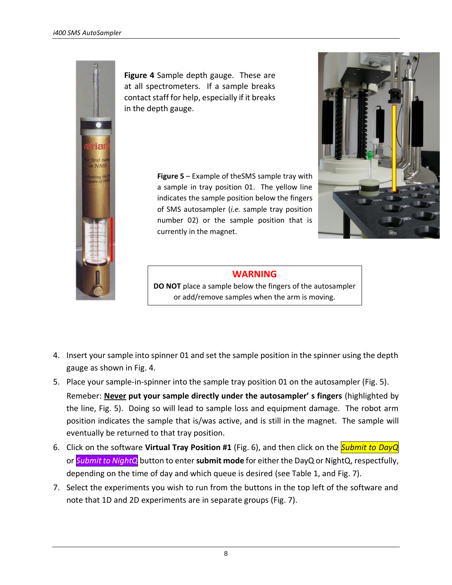

**Figure 4** Sample depth gauge. These are at all spectrometers. If a sample breaks contact staff for help, especially if it breaks in the depth gauge.

> **Figure 5** – Example of theSMS sample tray with a sample in tray position 01. The yellow line indicates the sample position below the fingers of SMS autosampler (*i.e.* sample tray position number 02) or the sample position that is currently in the magnet.



### **WARNING**

**DO NOT** place a sample below the fingers of the autosampler or add/remove samples when the arm is moving.

- 4. Insert your sample into spinner 01 and set the sample position in the spinner using the depth gauge as shown in Fig. 4.
- 5. Place your sample-in-spinner into the sample tray position 01 on the autosampler (Fig. 5). Remeber: **Never put your sample directly under the autosampler' s fingers** (highlighted by the line, Fig. 5). Doing so will lead to sample loss and equipment damage. The robot arm position indicates the sample that is/was active, and is still in the magnet. The sample will eventually be returned to that tray position.
- 6. Click on the software **Virtual Tray Position #1** (Fig. 6), and then click on the *Submit to DayQ* or *Submit to NightQ* button to enter **submit mode** for either the DayQ or NightQ, respectfully, depending on the time of day and which queue is desired (see Table 1, and Fig. 7).
- 7. Select the experiments you wish to run from the buttons in the top left of the software and note that 1D and 2D experiments are in separate groups (Fig. 7).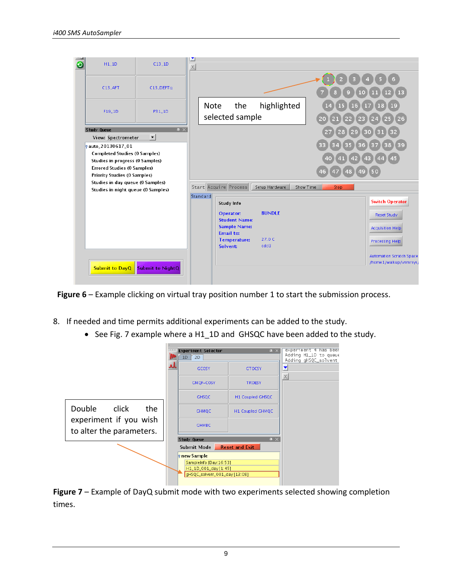

**Figure 6** – Example clicking on virtual tray position number 1 to start the submission process.

- 8. If needed and time permits additional experiments can be added to the study.
	- See Fig. 7 example where a H1\_1D and GHSQC have been added to the study.



**Figure 7** – Example of DayQ submit mode with two experiments selected showing completion times.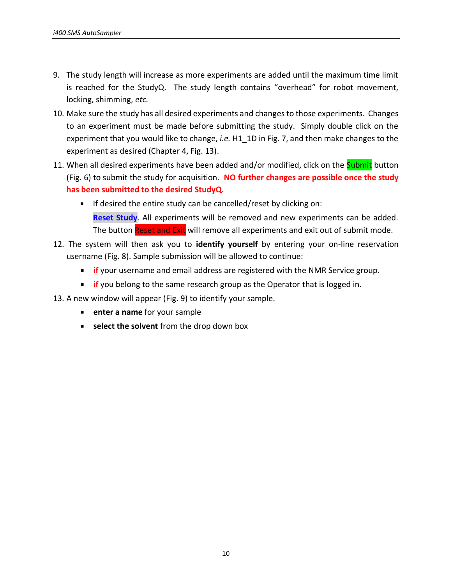- 9. The study length will increase as more experiments are added until the maximum time limit is reached for the StudyQ. The study length contains "overhead" for robot movement, locking, shimming, *etc.*
- 10. Make sure the study has all desired experiments and changes to those experiments. Changes to an experiment must be made before submitting the study. Simply double click on the experiment that you would like to change, *i.e.* H1\_1D in Fig. 7, and then make changes to the experiment as desired (Chapter 4, Fig. 13).
- 11. When all desired experiments have been added and/or modified, click on the **Submit** button (Fig. 6) to submit the study for acquisition. **NO further changes are possible once the study has been submitted to the desired StudyQ.**
	- $\blacksquare$  If desired the entire study can be cancelled/reset by clicking on: **Reset Study**. All experiments will be removed and new experiments can be added. The button Reset and Exit will remove all experiments and exit out of submit mode.
- 12. The system will then ask you to **identify yourself** by entering your on-line reservation username (Fig. 8). Sample submission will be allowed to continue:
	- **if** your username and email address are registered with the NMR Service group.
	- **if** you belong to the same research group as the Operator that is logged in.

13. A new window will appear (Fig. 9) to identify your sample.

- **enter a name** for your sample
- **select the solvent** from the drop down box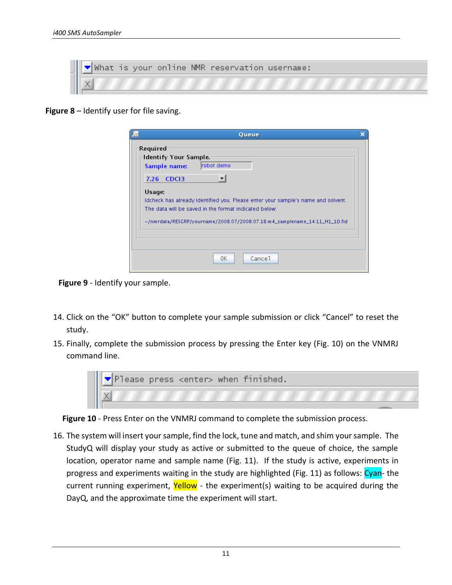|  |  |  | What is your online NMR reservation username: |  |
|--|--|--|-----------------------------------------------|--|
|  |  |  |                                               |  |

**Figure 8** – Identify user for file saving.

| Queue                                                                                                                                                                                                                                   |  |
|-----------------------------------------------------------------------------------------------------------------------------------------------------------------------------------------------------------------------------------------|--|
| <b>Required</b><br>Identify Your Sample.<br>Irobot demo<br>Sample name:                                                                                                                                                                 |  |
| 7.26 CDCI3                                                                                                                                                                                                                              |  |
| Usage:<br>Idcheck has already identified you. Please enter your sample's name and solvent.<br>The data will be saved in the format indicated below:<br>$\sim$ /nmrdata/RESGRP/yourname/2008.07/2008.07.18.m4_samplename_14:11_H1_1D.fid |  |
|                                                                                                                                                                                                                                         |  |
| Cance <sub>1</sub><br>0K                                                                                                                                                                                                                |  |

**Figure 9** - Identify your sample.

- 14. Click on the "OK" button to complete your sample submission or click "Cancel" to reset the study.
- 15. Finally, complete the submission process by pressing the Enter key (Fig. 10) on the VNMRJ command line.



**Figure 10** - Press Enter on the VNMRJ command to complete the submission process.

16. The system will insert your sample, find the lock, tune and match, and shim your sample. The StudyQ will display your study as active or submitted to the queue of choice, the sample location, operator name and sample name (Fig. 11). If the study is active, experiments in progress and experiments waiting in the study are highlighted (Fig. 11) as follows: Cyan- the current running experiment, Yellow - the experiment(s) waiting to be acquired during the DayQ, and the approximate time the experiment will start.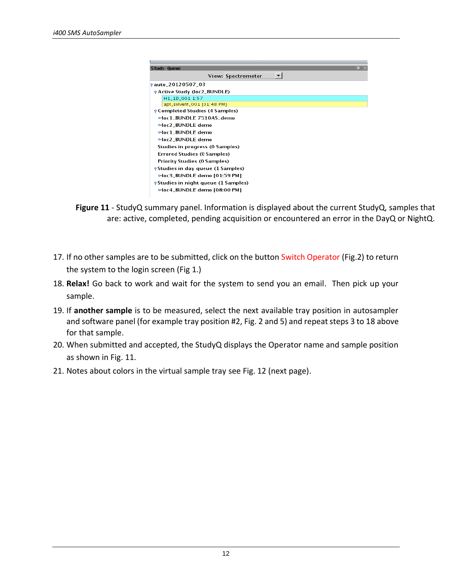| Study Queue                                 | 且<br>$\times$ |
|---------------------------------------------|---------------|
| <b>View: Spectrometer</b>                   |               |
| <b>9 auto_20120507_03</b>                   |               |
| <b>PActive Study (loc2_BUNDLE)</b>          |               |
| H1_1D_001 1:57                              |               |
| apt_solvent_001 [01:48 PM]                  |               |
| <b>P</b> Completed Studies (4 Samples)      |               |
| eloc1_BUNDLE 7510AS_demo                    |               |
| eloc2 BUNDLE demo                           |               |
| eloc1 BUNDLE demo                           |               |
| eloc2 BUNDLE demo                           |               |
| Studies in progress (0 Samples)             |               |
| Errored Studies (0 Samples)                 |               |
| <b>Priority Studies (0 Samples)</b>         |               |
| <b>e</b> Studies in day queue (1 Samples)   |               |
| ⊶loc3_BUNDLE demo [01:59 PM]                |               |
| <b>e</b> Studies in night queue (1 Samples) |               |
| ⊶loc4_BUNDLE demo [08:00 PM]                |               |
|                                             |               |

**Figure 11** - StudyQ summary panel. Information is displayed about the current StudyQ, samples that are: active, completed, pending acquisition or encountered an error in the DayQ or NightQ.

- 17. If no other samples are to be submitted, click on the button Switch Operator (Fig.2) to return the system to the login screen (Fig 1.)
- 18. **Relax!** Go back to work and wait for the system to send you an email. Then pick up your sample.
- 19. If **another sample** is to be measured, select the next available tray position in autosampler and software panel (for example tray position #2, Fig. 2 and 5) and repeat steps 3 to 18 above for that sample.
- 20. When submitted and accepted, the StudyQ displays the Operator name and sample position as shown in Fig. 11.
- 21. Notes about colors in the virtual sample tray see Fig. 12 (next page).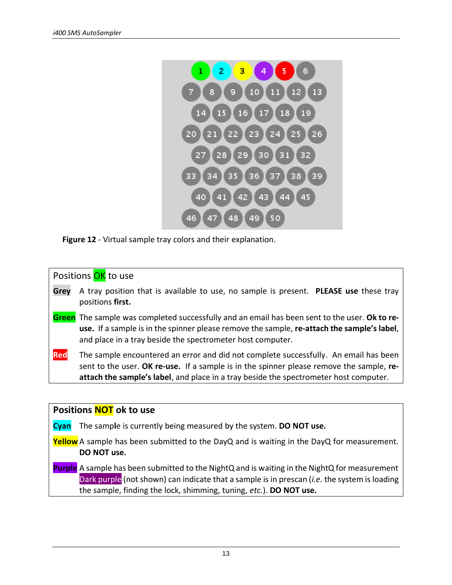

**Figure 12** - Virtual sample tray colors and their explanation.

| Positions OK to use |                                                                                                                                                                                                                                                                           |  |  |  |  |
|---------------------|---------------------------------------------------------------------------------------------------------------------------------------------------------------------------------------------------------------------------------------------------------------------------|--|--|--|--|
| Grey                | A tray position that is available to use, no sample is present. PLEASE use these tray<br>positions first.                                                                                                                                                                 |  |  |  |  |
|                     | <b>Green</b> The sample was completed successfully and an email has been sent to the user. Ok to re-<br>use. If a sample is in the spinner please remove the sample, re-attach the sample's label,<br>and place in a tray beside the spectrometer host computer.          |  |  |  |  |
| Red                 | The sample encountered an error and did not complete successfully. An email has been<br>sent to the user. OK re-use. If a sample is in the spinner please remove the sample, re-<br>attach the sample's label, and place in a tray beside the spectrometer host computer. |  |  |  |  |

#### **Positions NOT ok to use**

**Cyan** The samp**l**e is currently being measured by the system. **DO NOT use.**

**Yellow** A sample has been submitted to the DayQ and is waiting in the DayQ for measurement. **DO NOT use.**

**Purple** A sample has been submitted to the NightQ and is waiting in the NightQ for measurement Dark purple (not shown) can indicate that a sample is in prescan (*i.e.* the system is loading the sample, finding the lock, shimming, tuning, *etc.*). **DO NOT use.**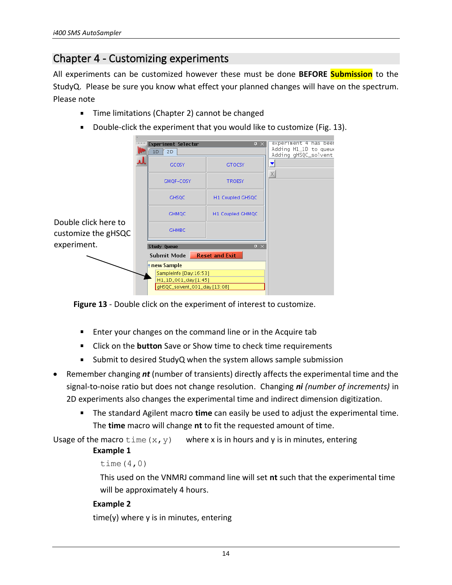### <span id="page-13-0"></span>Chapter 4 - Customizing experiments

All experiments can be customized however these must be done **BEFORE Submission** to the StudyQ. Please be sure you know what effect your planned changes will have on the spectrum. Please note

- $\blacksquare$ Time limitations (Chapter 2) cannot be changed
- Double-click the experiment that you would like to customize (Fig. 13).

|                                             | Experiment Selector<br>2D<br>1D<br>GCOSY                                                                | $\overline{P}$<br><b>GTOCSY</b> | experiment 4 has beer<br>Adding H1_1D to queue<br>Adding gHSQC_solvent |
|---------------------------------------------|---------------------------------------------------------------------------------------------------------|---------------------------------|------------------------------------------------------------------------|
|                                             | GMQF-COSY                                                                                               | <b>TROESY</b>                   |                                                                        |
|                                             | <b>GHSQC</b>                                                                                            | H1 Coupled GHSQC                |                                                                        |
|                                             | <b>GHMQC</b>                                                                                            | H1 Coupled GHMQC                |                                                                        |
| Double click here to<br>customize the gHSQC | <b>GHMBC</b>                                                                                            |                                 |                                                                        |
| experiment.                                 | Study Queue                                                                                             | $\overline{u} \times$           |                                                                        |
|                                             | <b>Reset and Exit</b><br>Submit Mode                                                                    |                                 |                                                                        |
|                                             | <b>P</b> new Sample<br>SampleInfo [Day: 16:53]<br>H1_1D_001_day [1:45]<br>gHSQC_solvent_001_day [13:08] |                                 |                                                                        |

**Figure 13** - Double click on the experiment of interest to customize.

- **Enter your changes on the command line or in the Acquire tab**
- Click on the **button** Save or Show time to check time requirements
- $\blacksquare$ Submit to desired StudyQ when the system allows sample submission
- Remember changing *nt* (number of transients) directly affects the experimental time and the signal-to-noise ratio but does not change resolution. Changing *ni (number of increments)* in 2D experiments also changes the experimental time and indirect dimension digitization.
	- The standard Agilent macro **time** can easily be used to adjust the experimental time. The **time** macro will change **nt** to fit the requested amount of time.

Usage of the macro  $\tan \omega$ , y) where x is in hours and y is in minutes, entering

#### **Example 1**

```
time(4,0)
```
This used on the VNMRJ command line will set **nt** such that the experimental time will be approximately 4 hours.

#### **Example 2**

time(y) where y is in minutes, entering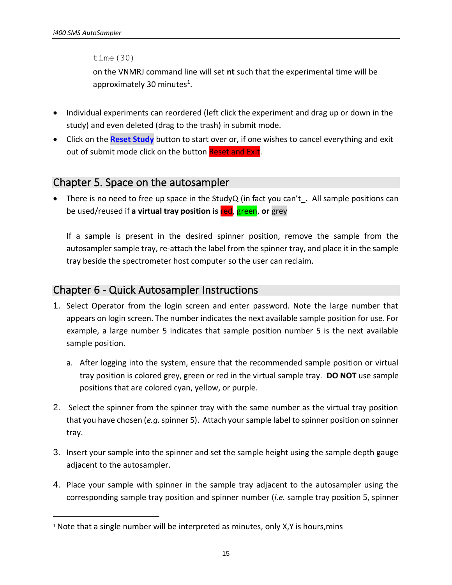time(30)

on the VNMRJ command line will set **nt** such that the experimental time will be approximately 30 minutes<sup>1</sup>.

- Individual experiments can reordered (left click the experiment and drag up or down in the study) and even deleted (drag to the trash) in submit mode.
- Click on the **Reset Study** button to start over or, if one wishes to cancel everything and exit out of submit mode click on the button Reset and Exit.

### <span id="page-14-0"></span>Chapter 5. Space on the autosampler

• There is no need to free up space in the StudyQ (in fact you can't\_**.** All sample positions can be used/reused if **a virtual tray position is** red, green, **or** grey

If a sample is present in the desired spinner position, remove the sample from the autosampler sample tray, re-attach the label from the spinner tray, and place it in the sample tray beside the spectrometer host computer so the user can reclaim.

### <span id="page-14-1"></span>Chapter 6 - Quick Autosampler Instructions

- 1. Select Operator from the login screen and enter password. Note the large number that appears on login screen. The number indicates the next available sample position for use. For example, a large number 5 indicates that sample position number 5 is the next available sample position.
	- a. After logging into the system, ensure that the recommended sample position or virtual tray position is colored grey, green or red in the virtual sample tray. **DO NOT** use sample positions that are colored cyan, yellow, or purple.
- 2. Select the spinner from the spinner tray with the same number as the virtual tray position that you have chosen (*e.g.*spinner 5). Attach your sample label to spinner position on spinner tray.
- 3. Insert your sample into the spinner and set the sample height using the sample depth gauge adjacent to the autosampler.
- 4. Place your sample with spinner in the sample tray adjacent to the autosampler using the corresponding sample tray position and spinner number (*i.e.* sample tray position 5, spinner

 $1$  Note that a single number will be interpreted as minutes, only X,Y is hours, mins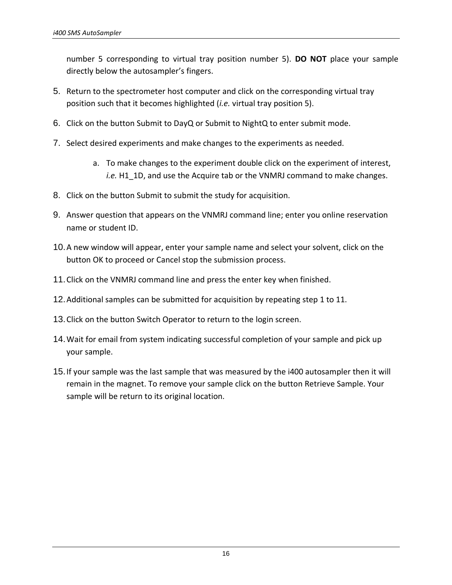number 5 corresponding to virtual tray position number 5). **DO NOT** place your sample directly below the autosampler's fingers.

- 5. Return to the spectrometer host computer and click on the corresponding virtual tray position such that it becomes highlighted (*i.e.* virtual tray position 5).
- 6. Click on the button Submit to DayQ or Submit to NightQ to enter submit mode.
- 7. Select desired experiments and make changes to the experiments as needed.
	- a. To make changes to the experiment double click on the experiment of interest, *i.e.* H1\_1D, and use the Acquire tab or the VNMRJ command to make changes.
- 8. Click on the button Submit to submit the study for acquisition.
- 9. Answer question that appears on the VNMRJ command line; enter you online reservation name or student ID.
- 10.A new window will appear, enter your sample name and select your solvent, click on the button OK to proceed or Cancel stop the submission process.
- 11.Click on the VNMRJ command line and press the enter key when finished.
- 12.Additional samples can be submitted for acquisition by repeating step 1 to 11.
- 13.Click on the button Switch Operator to return to the login screen.
- 14.Wait for email from system indicating successful completion of your sample and pick up your sample.
- 15.If your sample was the last sample that was measured by the i400 autosampler then it will remain in the magnet. To remove your sample click on the button Retrieve Sample. Your sample will be return to its original location.